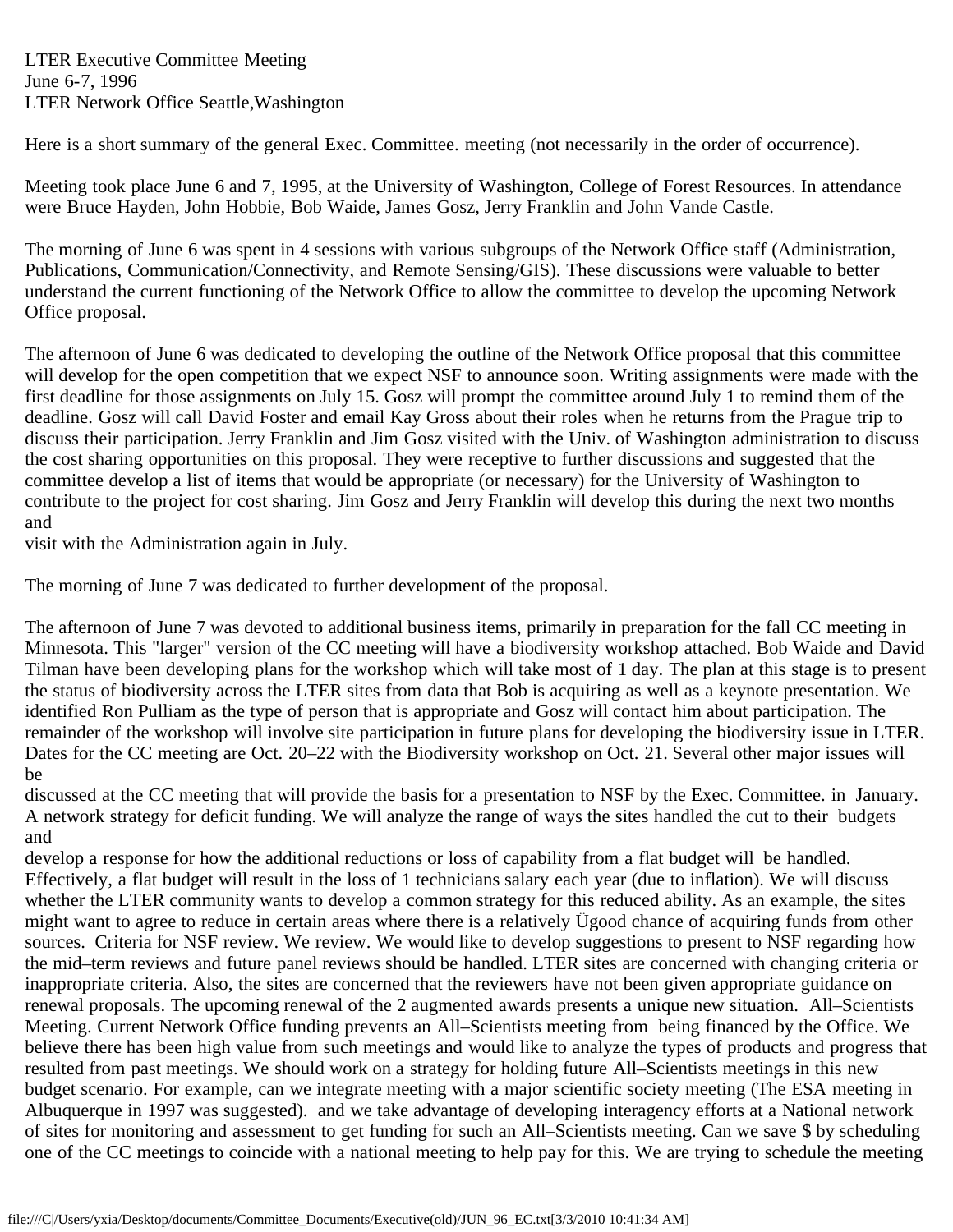Here is a short summary of the general Exec. Committee. meeting (not necessarily in the order of occurrence).

Meeting took place June 6 and 7, 1995, at the University of Washington, College of Forest Resources. In attendance were Bruce Hayden, John Hobbie, Bob Waide, James Gosz, Jerry Franklin and John Vande Castle.

The morning of June 6 was spent in 4 sessions with various subgroups of the Network Office staff (Administration, Publications, Communication/Connectivity, and Remote Sensing/GIS). These discussions were valuable to better understand the current functioning of the Network Office to allow the committee to develop the upcoming Network Office proposal.

The afternoon of June 6 was dedicated to developing the outline of the Network Office proposal that this committee will develop for the open competition that we expect NSF to announce soon. Writing assignments were made with the first deadline for those assignments on July 15. Gosz will prompt the committee around July 1 to remind them of the deadline. Gosz will call David Foster and email Kay Gross about their roles when he returns from the Prague trip to discuss their participation. Jerry Franklin and Jim Gosz visited with the Univ. of Washington administration to discuss the cost sharing opportunities on this proposal. They were receptive to further discussions and suggested that the committee develop a list of items that would be appropriate (or necessary) for the University of Washington to contribute to the project for cost sharing. Jim Gosz and Jerry Franklin will develop this during the next two months and

visit with the Administration again in July.

The morning of June 7 was dedicated to further development of the proposal.

The afternoon of June 7 was devoted to additional business items, primarily in preparation for the fall CC meeting in Minnesota. This "larger" version of the CC meeting will have a biodiversity workshop attached. Bob Waide and David Tilman have been developing plans for the workshop which will take most of 1 day. The plan at this stage is to present the status of biodiversity across the LTER sites from data that Bob is acquiring as well as a keynote presentation. We identified Ron Pulliam as the type of person that is appropriate and Gosz will contact him about participation. The remainder of the workshop will involve site participation in future plans for developing the biodiversity issue in LTER. Dates for the CC meeting are Oct. 20–22 with the Biodiversity workshop on Oct. 21. Several other major issues will be

discussed at the CC meeting that will provide the basis for a presentation to NSF by the Exec. Committee. in January. A network strategy for deficit funding. We will analyze the range of ways the sites handled the cut to their budgets and

develop a response for how the additional reductions or loss of capability from a flat budget will be handled. Effectively, a flat budget will result in the loss of 1 technicians salary each year (due to inflation). We will discuss whether the LTER community wants to develop a common strategy for this reduced ability. As an example, the sites might want to agree to reduce in certain areas where there is a relatively Ügood chance of acquiring funds from other sources. Criteria for NSF review. We review. We would like to develop suggestions to present to NSF regarding how the mid–term reviews and future panel reviews should be handled. LTER sites are concerned with changing criteria or inappropriate criteria. Also, the sites are concerned that the reviewers have not been given appropriate guidance on renewal proposals. The upcoming renewal of the 2 augmented awards presents a unique new situation. All–Scientists Meeting. Current Network Office funding prevents an All–Scientists meeting from being financed by the Office. We believe there has been high value from such meetings and would like to analyze the types of products and progress that resulted from past meetings. We should work on a strategy for holding future All–Scientists meetings in this new budget scenario. For example, can we integrate meeting with a major scientific society meeting (The ESA meeting in Albuquerque in 1997 was suggested). and we take advantage of developing interagency efforts at a National network of sites for monitoring and assessment to get funding for such an All–Scientists meeting. Can we save \$ by scheduling one of the CC meetings to coincide with a national meeting to help pay for this. We are trying to schedule the meeting